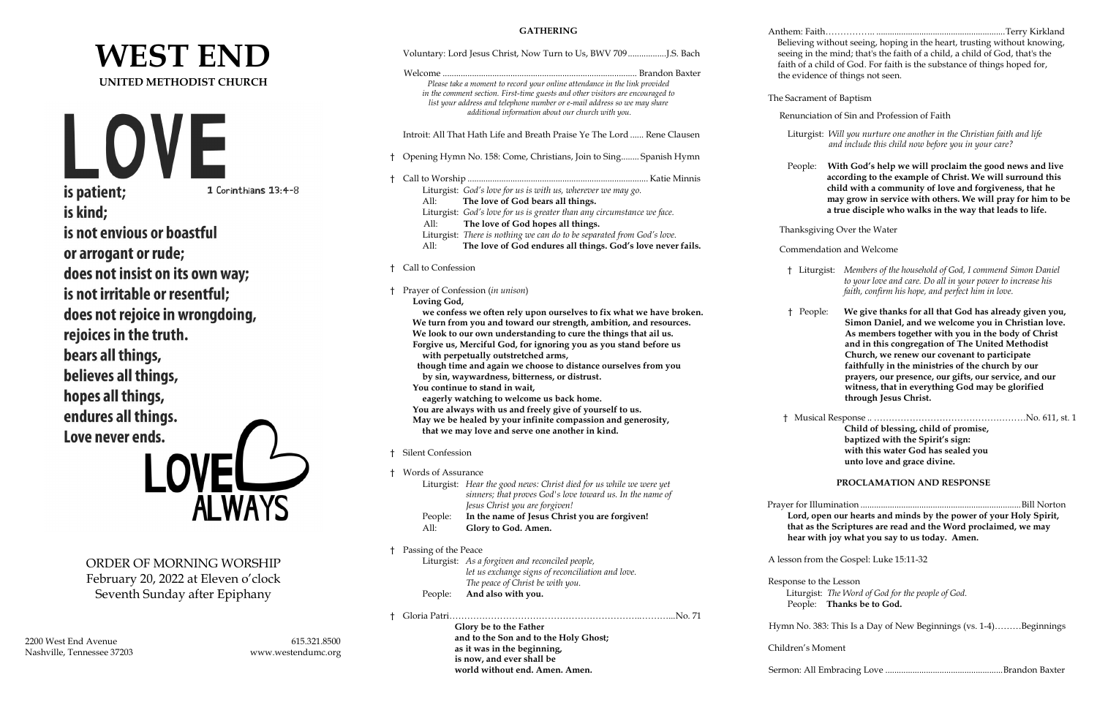# **WEST END UNITED METHODIST CHURCH**



is kind; is not envious or boastful or arrogant or rude; does not insist on its own way; is not irritable or resentful; does not rejoice in wrongdoing, rejoices in the truth. bears all things, believes all things, hopes all things, endures all things. Love never ends.

 $FL$ **ALWAYS** 

ORDER OF MORNING WORSHIP February 20, 2022 at Eleven o'clock Seventh Sunday after Epiphany

2200 West End Avenue 615.321.8500 Nashville, Tennessee 37203 www.westendumc.org

**GATHERING**

|              | Please take a moment to record your online attendance in the link provided<br>in the comment section. First-time guests and other visitors are encouraged to<br>list your address and telephone number or e-mail address so we may share<br>additional information about our church with you.                                                                                                                                                                                                                                                                                                                                                                                                                              | Believing without seeing, hoping in the heart, trusting without knowing,<br>seeing in the mind; that's the faith of a child, a child of God, that's the<br>faith of a child of God. For faith is the substance of things hoped for,<br>the evidence of things not seen.<br>The Sacrament of Baptism<br>Renunciation of Sin and Profession of Faith                                                                                                                                                                                                           |
|--------------|----------------------------------------------------------------------------------------------------------------------------------------------------------------------------------------------------------------------------------------------------------------------------------------------------------------------------------------------------------------------------------------------------------------------------------------------------------------------------------------------------------------------------------------------------------------------------------------------------------------------------------------------------------------------------------------------------------------------------|--------------------------------------------------------------------------------------------------------------------------------------------------------------------------------------------------------------------------------------------------------------------------------------------------------------------------------------------------------------------------------------------------------------------------------------------------------------------------------------------------------------------------------------------------------------|
|              | Introit: All That Hath Life and Breath Praise Ye The Lord  Rene Clausen                                                                                                                                                                                                                                                                                                                                                                                                                                                                                                                                                                                                                                                    | Liturgist: Will you nurture one another in the Christian faith and life<br>and include this child now before you in your care?                                                                                                                                                                                                                                                                                                                                                                                                                               |
|              | Opening Hymn No. 158: Come, Christians, Join to Sing Spanish Hymn                                                                                                                                                                                                                                                                                                                                                                                                                                                                                                                                                                                                                                                          | With God's help we will proclaim the good news and live<br>People:<br>according to the example of Christ. We will surround this                                                                                                                                                                                                                                                                                                                                                                                                                              |
| Ť.           | Liturgist: God's love for us is with us, wherever we may go.<br>The love of God bears all things.<br>All:<br>Liturgist: God's love for us is greater than any circumstance we face.<br>All:                                                                                                                                                                                                                                                                                                                                                                                                                                                                                                                                | child with a community of love and forgiveness, that he<br>may grow in service with others. We will pray for him to be<br>a true disciple who walks in the way that leads to life.                                                                                                                                                                                                                                                                                                                                                                           |
|              | The love of God hopes all things.<br>Liturgist: There is nothing we can do to be separated from God's love.                                                                                                                                                                                                                                                                                                                                                                                                                                                                                                                                                                                                                | Thanksgiving Over the Water                                                                                                                                                                                                                                                                                                                                                                                                                                                                                                                                  |
|              | The love of God endures all things. God's love never fails.<br>All:                                                                                                                                                                                                                                                                                                                                                                                                                                                                                                                                                                                                                                                        | Commendation and Welcome                                                                                                                                                                                                                                                                                                                                                                                                                                                                                                                                     |
| $\mathsf{t}$ | Call to Confession<br>Prayer of Confession (in unison)                                                                                                                                                                                                                                                                                                                                                                                                                                                                                                                                                                                                                                                                     | Members of the household of God, I commend Simon Daniel<br>† Liturgist:<br>to your love and care. Do all in your power to increase his<br>faith, confirm his hope, and perfect him in love.                                                                                                                                                                                                                                                                                                                                                                  |
|              | Loving God,<br>we confess we often rely upon ourselves to fix what we have broken.<br>We turn from you and toward our strength, ambition, and resources.<br>We look to our own understanding to cure the things that ail us.<br>Forgive us, Merciful God, for ignoring you as you stand before us<br>with perpetually outstretched arms,<br>though time and again we choose to distance ourselves from you<br>by sin, waywardness, bitterness, or distrust.<br>You continue to stand in wait,<br>eagerly watching to welcome us back home.<br>You are always with us and freely give of yourself to us.<br>May we be healed by your infinite compassion and generosity,<br>that we may love and serve one another in kind. | We give thanks for all that God has already given you,<br>† People:<br>Simon Daniel, and we welcome you in Christian love.<br>As members together with you in the body of Christ<br>and in this congregation of The United Methodist<br>Church, we renew our covenant to participate<br>faithfully in the ministries of the church by our<br>prayers, our presence, our gifts, our service, and our<br>witness, that in everything God may be glorified<br>through Jesus Christ.<br>Child of blessing, child of promise,<br>baptized with the Spirit's sign: |
|              | Silent Confession                                                                                                                                                                                                                                                                                                                                                                                                                                                                                                                                                                                                                                                                                                          | with this water God has sealed you<br>unto love and grace divine.                                                                                                                                                                                                                                                                                                                                                                                                                                                                                            |
| Ť.           | Words of Assurance<br>Liturgist: Hear the good news: Christ died for us while we were yet<br>sinners; that proves God's love toward us. In the name of<br>Jesus Christ you are forgiven!<br>In the name of Jesus Christ you are forgiven!<br>People:<br>All:<br>Glory to God. Amen.                                                                                                                                                                                                                                                                                                                                                                                                                                        | PROCLAMATION AND RESPONSE<br>Lord, open our hearts and minds by the power of your Holy Spirit,<br>that as the Scriptures are read and the Word proclaimed, we may<br>hear with joy what you say to us today. Amen.                                                                                                                                                                                                                                                                                                                                           |
| t.           | Passing of the Peace                                                                                                                                                                                                                                                                                                                                                                                                                                                                                                                                                                                                                                                                                                       |                                                                                                                                                                                                                                                                                                                                                                                                                                                                                                                                                              |
|              | Liturgist: As a forgiven and reconciled people,<br>let us exchange signs of reconciliation and love.<br>The peace of Christ be with you.<br>And also with you.<br>People:                                                                                                                                                                                                                                                                                                                                                                                                                                                                                                                                                  | A lesson from the Gospel: Luke 15:11-32<br>Response to the Lesson<br>Liturgist: The Word of God for the people of God.<br>People: Thanks be to God.                                                                                                                                                                                                                                                                                                                                                                                                          |
|              | Glory be to the Father                                                                                                                                                                                                                                                                                                                                                                                                                                                                                                                                                                                                                                                                                                     | Hymn No. 383: This Is a Day of New Beginnings (vs. 1-4)Beginnings                                                                                                                                                                                                                                                                                                                                                                                                                                                                                            |
|              | and to the Son and to the Holy Ghost;<br>as it was in the beginning,<br>is now, and ever shall be                                                                                                                                                                                                                                                                                                                                                                                                                                                                                                                                                                                                                          | Children's Moment                                                                                                                                                                                                                                                                                                                                                                                                                                                                                                                                            |
|              | world without end. Amen. Amen.                                                                                                                                                                                                                                                                                                                                                                                                                                                                                                                                                                                                                                                                                             |                                                                                                                                                                                                                                                                                                                                                                                                                                                                                                                                                              |

Anthem: Faith…………….. .........................................................Terry Kirkland

| Child of blessing, child of promise, |  |
|--------------------------------------|--|
| baptized with the Spirit's sign:     |  |
| with this water God has sealed you   |  |
| unto love and grace divine.          |  |
|                                      |  |

Sermon: All Embracing Love ....................................................Brandon Baxter